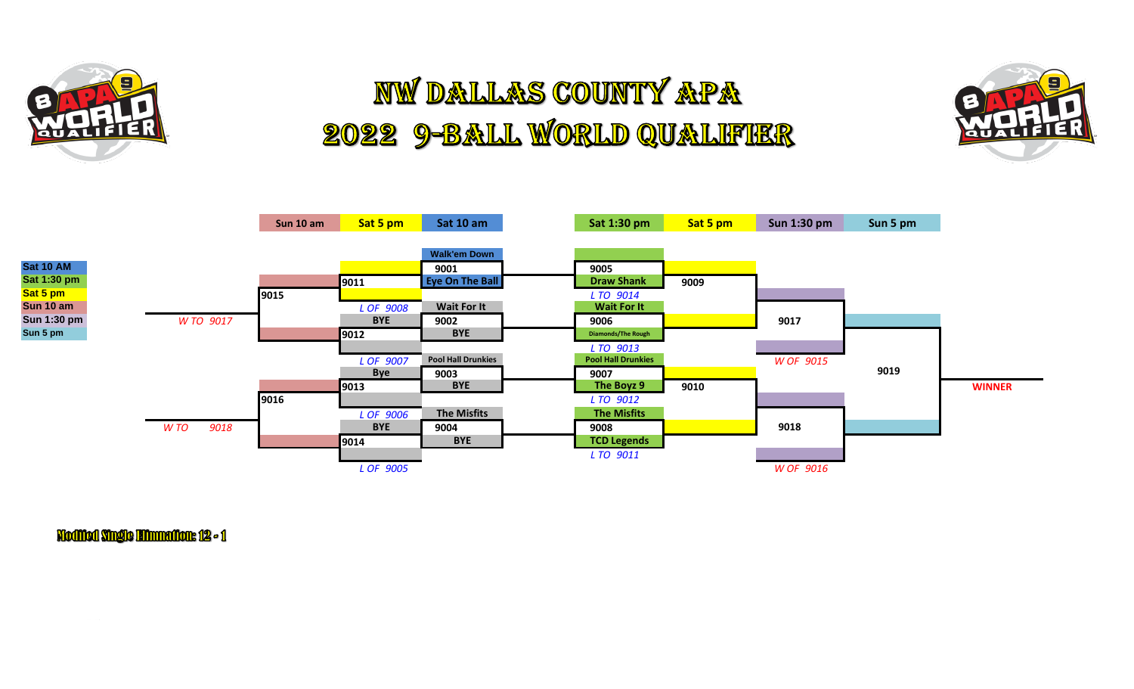

## **NW DALLAS COUNTY APA** 2022 9-BALL WORLD QUALIFIER





Modified Single Effunnation: 12 - 1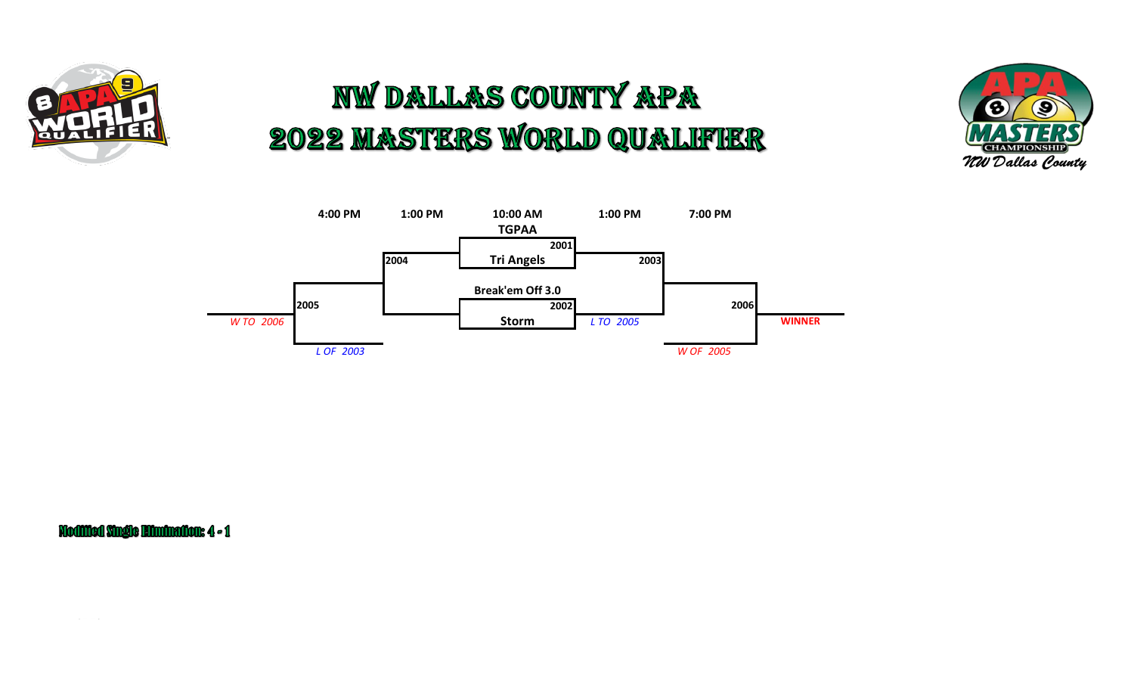

## **NW DALLAS COUNTY APA** 2022 MASTERS WORLD QUALIFIER





Modified Single Himination: 4 - 1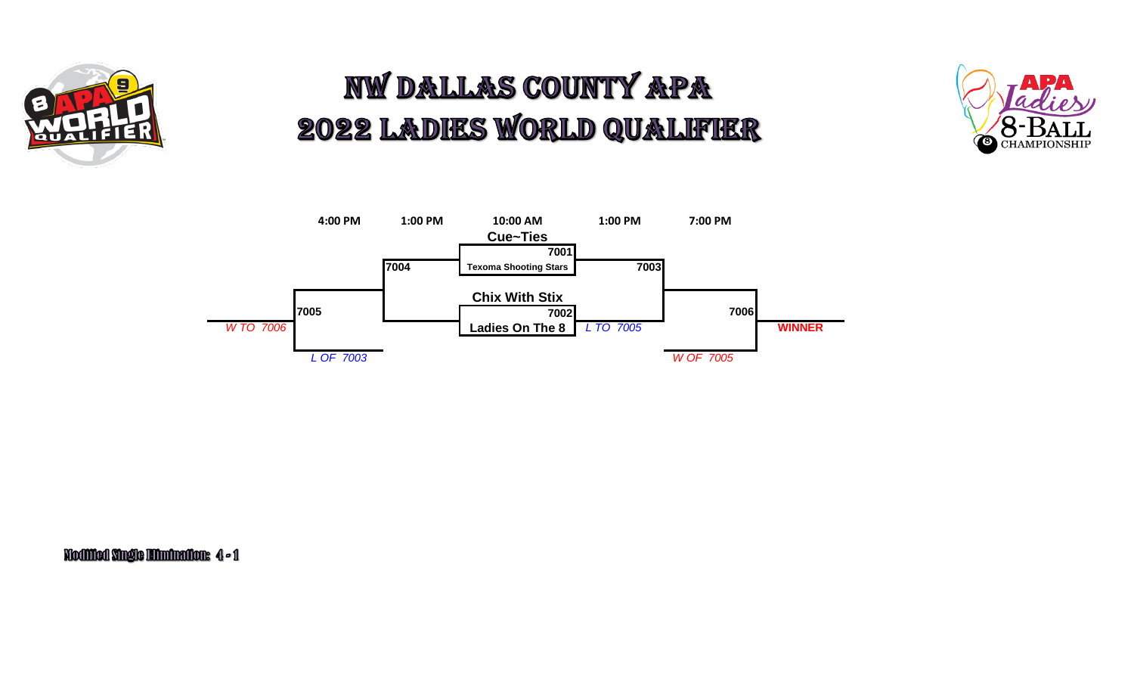

## **NW DALLAS COUNTY APA** 2022 LADIES WORLD QUALIFIER





Modified Single Himination: 4-1